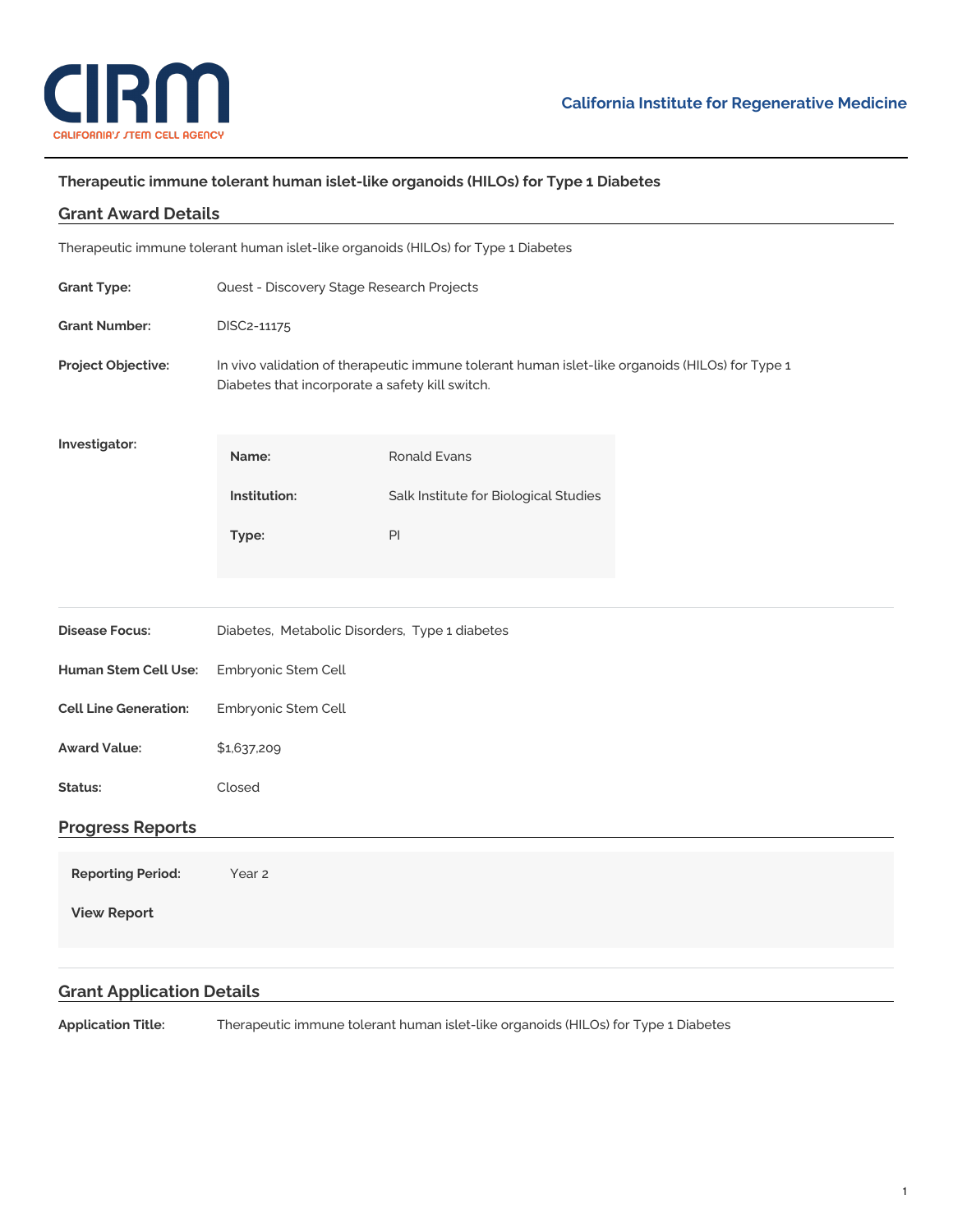

## **Therapeutic immune tolerant human islet-like organoids (HILOs) for Type 1 Diabetes**

| <b>Grant Award Details</b>   |                                                                                                                                                    |                                                                                    |  |  |
|------------------------------|----------------------------------------------------------------------------------------------------------------------------------------------------|------------------------------------------------------------------------------------|--|--|
|                              |                                                                                                                                                    | Therapeutic immune tolerant human islet-like organoids (HILOs) for Type 1 Diabetes |  |  |
| <b>Grant Type:</b>           | Quest - Discovery Stage Research Projects                                                                                                          |                                                                                    |  |  |
| <b>Grant Number:</b>         | DISC2-11175                                                                                                                                        |                                                                                    |  |  |
| Project Objective:           | In vivo validation of therapeutic immune tolerant human islet-like organoids (HILOs) for Type 1<br>Diabetes that incorporate a safety kill switch. |                                                                                    |  |  |
| Investigator:                | Name:                                                                                                                                              | <b>Ronald Evans</b>                                                                |  |  |
|                              | Institution:                                                                                                                                       | Salk Institute for Biological Studies                                              |  |  |
|                              | Type:                                                                                                                                              | $\mathsf{Pl}$                                                                      |  |  |
|                              |                                                                                                                                                    |                                                                                    |  |  |
| <b>Disease Focus:</b>        | Diabetes, Metabolic Disorders, Type 1 diabetes                                                                                                     |                                                                                    |  |  |
| <b>Human Stem Cell Use:</b>  | Embryonic Stem Cell                                                                                                                                |                                                                                    |  |  |
| <b>Cell Line Generation:</b> | Embryonic Stem Cell                                                                                                                                |                                                                                    |  |  |
| <b>Award Value:</b>          | \$1,637,209                                                                                                                                        |                                                                                    |  |  |
| Status:                      | Closed                                                                                                                                             |                                                                                    |  |  |
| <b>Progress Reports</b>      |                                                                                                                                                    |                                                                                    |  |  |
| <b>Reporting Period:</b>     | Year 2                                                                                                                                             |                                                                                    |  |  |
| <b>View Report</b>           |                                                                                                                                                    |                                                                                    |  |  |
|                              |                                                                                                                                                    |                                                                                    |  |  |

## **Grant Application Details**

**Application Title:** Therapeutic immune tolerant human islet-like organoids (HILOs) for Type 1 Diabetes